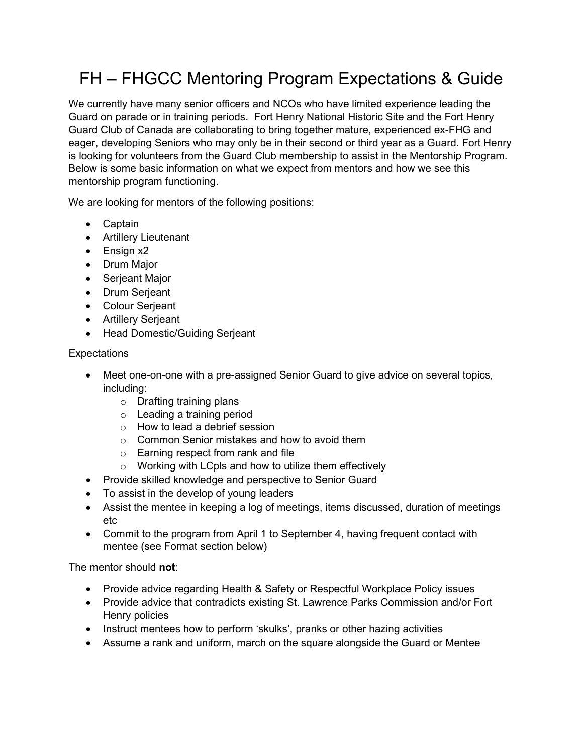# FH – FHGCC Mentoring Program Expectations & Guide

We currently have many senior officers and NCOs who have limited experience leading the Guard on parade or in training periods. Fort Henry National Historic Site and the Fort Henry Guard Club of Canada are collaborating to bring together mature, experienced ex-FHG and eager, developing Seniors who may only be in their second or third year as a Guard. Fort Henry is looking for volunteers from the Guard Club membership to assist in the Mentorship Program. Below is some basic information on what we expect from mentors and how we see this mentorship program functioning.

We are looking for mentors of the following positions:

- Captain
- Artillery Lieutenant
- Ensign x2
- Drum Major
- Serjeant Major
- Drum Serjeant
- Colour Serjeant
- Artillery Serjeant
- Head Domestic/Guiding Serjeant

# **Expectations**

- Meet one-on-one with a pre-assigned Senior Guard to give advice on several topics, including:
	- o Drafting training plans
	- o Leading a training period
	- o How to lead a debrief session
	- o Common Senior mistakes and how to avoid them
	- o Earning respect from rank and file
	- o Working with LCpls and how to utilize them effectively
- Provide skilled knowledge and perspective to Senior Guard
- To assist in the develop of young leaders
- Assist the mentee in keeping a log of meetings, items discussed, duration of meetings etc
- Commit to the program from April 1 to September 4, having frequent contact with mentee (see Format section below)

The mentor should **not**:

- Provide advice regarding Health & Safety or Respectful Workplace Policy issues
- Provide advice that contradicts existing St. Lawrence Parks Commission and/or Fort Henry policies
- Instruct mentees how to perform 'skulks', pranks or other hazing activities
- Assume a rank and uniform, march on the square alongside the Guard or Mentee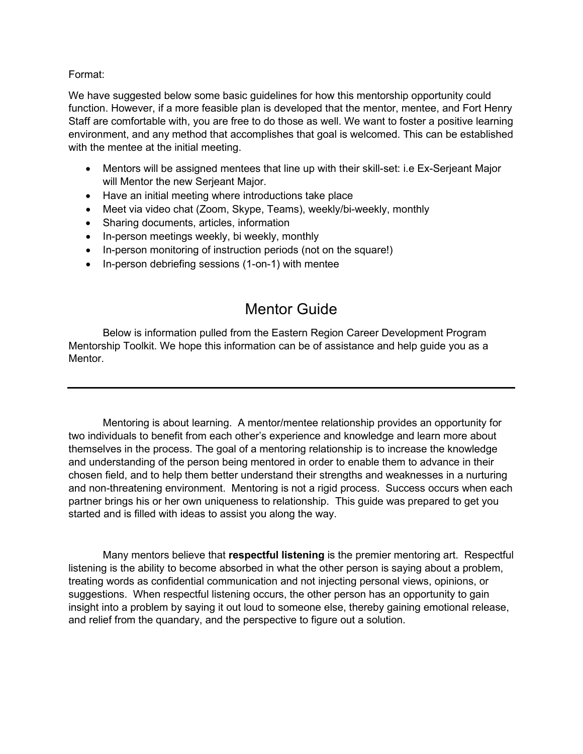### Format:

We have suggested below some basic guidelines for how this mentorship opportunity could function. However, if a more feasible plan is developed that the mentor, mentee, and Fort Henry Staff are comfortable with, you are free to do those as well. We want to foster a positive learning environment, and any method that accomplishes that goal is welcomed. This can be established with the mentee at the initial meeting.

- Mentors will be assigned mentees that line up with their skill-set: i.e Ex-Serjeant Major will Mentor the new Serjeant Major.
- Have an initial meeting where introductions take place
- Meet via video chat (Zoom, Skype, Teams), weekly/bi-weekly, monthly
- Sharing documents, articles, information
- In-person meetings weekly, bi weekly, monthly
- In-person monitoring of instruction periods (not on the square!)
- In-person debriefing sessions (1-on-1) with mentee

# Mentor Guide

Below is information pulled from the Eastern Region Career Development Program Mentorship Toolkit. We hope this information can be of assistance and help guide you as a Mentor.

Mentoring is about learning. A mentor/mentee relationship provides an opportunity for two individuals to benefit from each other's experience and knowledge and learn more about themselves in the process. The goal of a mentoring relationship is to increase the knowledge and understanding of the person being mentored in order to enable them to advance in their chosen field, and to help them better understand their strengths and weaknesses in a nurturing and non-threatening environment. Mentoring is not a rigid process. Success occurs when each partner brings his or her own uniqueness to relationship. This guide was prepared to get you started and is filled with ideas to assist you along the way.

Many mentors believe that **respectful listening** is the premier mentoring art. Respectful listening is the ability to become absorbed in what the other person is saying about a problem, treating words as confidential communication and not injecting personal views, opinions, or suggestions. When respectful listening occurs, the other person has an opportunity to gain insight into a problem by saying it out loud to someone else, thereby gaining emotional release, and relief from the quandary, and the perspective to figure out a solution.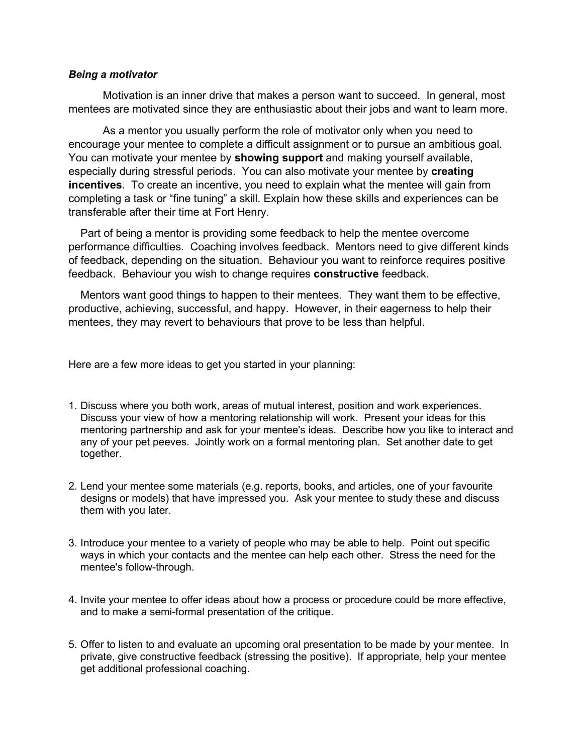#### *Being a motivator*

Motivation is an inner drive that makes a person want to succeed. In general, most mentees are motivated since they are enthusiastic about their jobs and want to learn more.

As a mentor you usually perform the role of motivator only when you need to encourage your mentee to complete a difficult assignment or to pursue an ambitious goal. You can motivate your mentee by **showing support** and making yourself available, especially during stressful periods. You can also motivate your mentee by **creating incentives**. To create an incentive, you need to explain what the mentee will gain from completing a task or "fine tuning" a skill. Explain how these skills and experiences can be transferable after their time at Fort Henry.

Part of being a mentor is providing some feedback to help the mentee overcome performance difficulties. Coaching involves feedback. Mentors need to give different kinds of feedback, depending on the situation. Behaviour you want to reinforce requires positive feedback. Behaviour you wish to change requires **constructive** feedback.

Mentors want good things to happen to their mentees. They want them to be effective, productive, achieving, successful, and happy. However, in their eagerness to help their mentees, they may revert to behaviours that prove to be less than helpful.

Here are a few more ideas to get you started in your planning:

- 1. Discuss where you both work, areas of mutual interest, position and work experiences. Discuss your view of how a mentoring relationship will work. Present your ideas for this mentoring partnership and ask for your mentee's ideas. Describe how you like to interact and any of your pet peeves. Jointly work on a formal mentoring plan. Set another date to get together.
- 2. Lend your mentee some materials (e.g. reports, books, and articles, one of your favourite designs or models) that have impressed you. Ask your mentee to study these and discuss them with you later.
- 3. Introduce your mentee to a variety of people who may be able to help. Point out specific ways in which your contacts and the mentee can help each other. Stress the need for the mentee's follow-through.
- 4. Invite your mentee to offer ideas about how a process or procedure could be more effective, and to make a semi-formal presentation of the critique.
- 5. Offer to listen to and evaluate an upcoming oral presentation to be made by your mentee. In private, give constructive feedback (stressing the positive). If appropriate, help your mentee get additional professional coaching.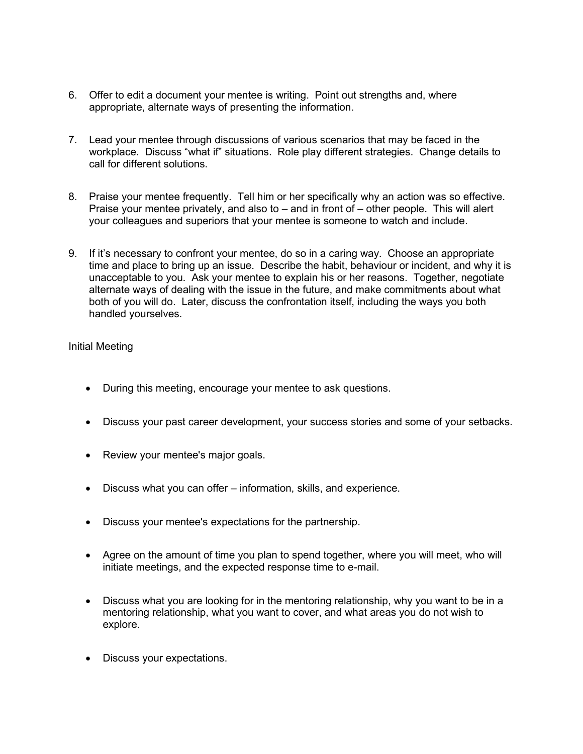- 6. Offer to edit a document your mentee is writing. Point out strengths and, where appropriate, alternate ways of presenting the information.
- 7. Lead your mentee through discussions of various scenarios that may be faced in the workplace. Discuss "what if" situations. Role play different strategies. Change details to call for different solutions.
- 8. Praise your mentee frequently. Tell him or her specifically why an action was so effective. Praise your mentee privately, and also to – and in front of – other people. This will alert your colleagues and superiors that your mentee is someone to watch and include.
- 9. If it's necessary to confront your mentee, do so in a caring way. Choose an appropriate time and place to bring up an issue. Describe the habit, behaviour or incident, and why it is unacceptable to you. Ask your mentee to explain his or her reasons. Together, negotiate alternate ways of dealing with the issue in the future, and make commitments about what both of you will do. Later, discuss the confrontation itself, including the ways you both handled yourselves.

## Initial Meeting

- During this meeting, encourage your mentee to ask questions.
- Discuss your past career development, your success stories and some of your setbacks.
- Review your mentee's major goals.
- Discuss what you can offer information, skills, and experience.
- Discuss your mentee's expectations for the partnership.
- Agree on the amount of time you plan to spend together, where you will meet, who will initiate meetings, and the expected response time to e-mail.
- Discuss what you are looking for in the mentoring relationship, why you want to be in a mentoring relationship, what you want to cover, and what areas you do not wish to explore.
- Discuss your expectations.